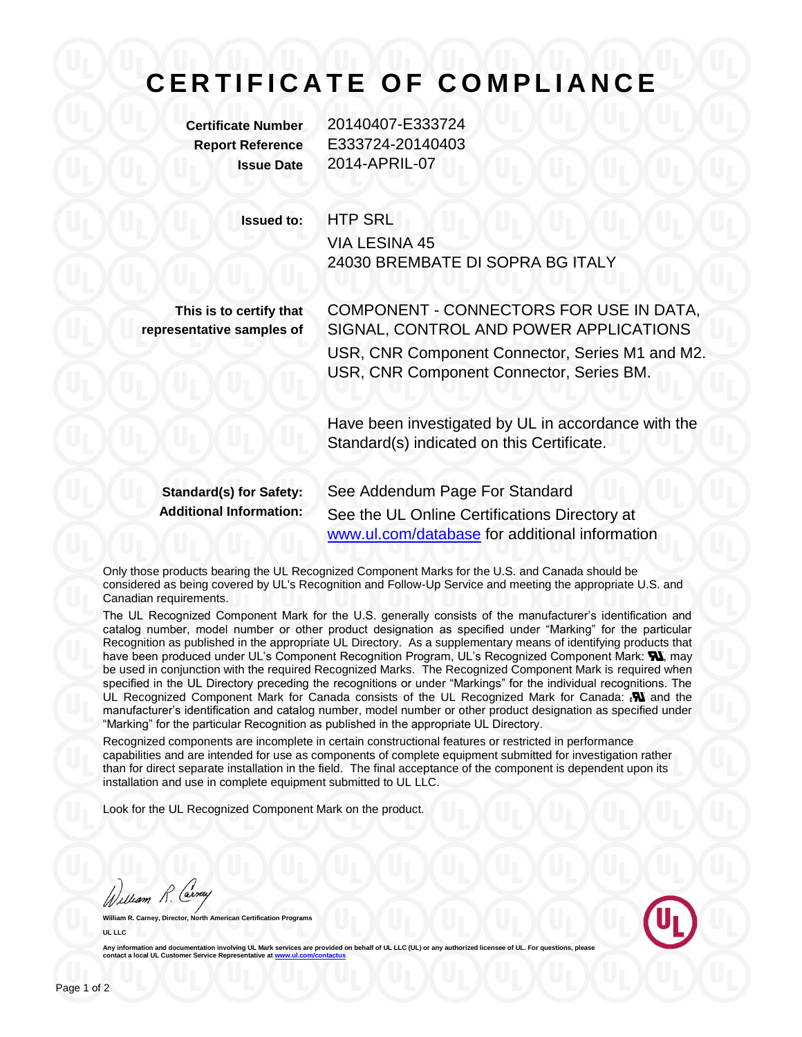## **C E R T I F I C A T E O F C O M P L I A N C E**

**Certificate Number** 20140407-E333724 **Report Reference** E333724-20140403 **Issue Date** 2014-APRIL-07

**Issued to:** HTP SRL

VIA LESINA 45 24030 BREMBATE DI SOPRA BG ITALY

**This is to certify that representative samples of** COMPONENT - CONNECTORS FOR USE IN DATA, SIGNAL, CONTROL AND POWER APPLICATIONS USR, CNR Component Connector, Series M1 and M2. USR, CNR Component Connector, Series BM.

Have been investigated by UL in accordance with the Standard(s) indicated on this Certificate.

**Standard(s) for Safety:** See Addendum Page For Standard **Additional Information:** See the UL Online Certifications Directory at [www.ul.com/database](http://www.ul.com/database) for additional information

Only those products bearing the UL Recognized Component Marks for the U.S. and Canada should be considered as being covered by UL's Recognition and Follow-Up Service and meeting the appropriate U.S. and Canadian requirements.

The UL Recognized Component Mark for the U.S. generally consists of the manufacturer's identification and catalog number, model number or other product designation as specified under "Marking" for the particular Recognition as published in the appropriate UL Directory. As a supplementary means of identifying products that have been produced under UL's Component Recognition Program, UL's Recognized Component Mark: W, may be used in conjunction with the required Recognized Marks. The Recognized Component Mark is required when specified in the UL Directory preceding the recognitions or under "Markings" for the individual recognitions. The UL Recognized Component Mark for Canada consists of the UL Recognized Mark for Canada:  $\mathbf{N}$  and the manufacturer's identification and catalog number, model number or other product designation as specified under "Marking" for the particular Recognition as published in the appropriate UL Directory.

Recognized components are incomplete in certain constructional features or restricted in performance capabilities and are intended for use as components of complete equipment submitted for investigation rather than for direct separate installation in the field. The final acceptance of the component is dependent upon its installation and use in complete equipment submitted to UL LLC.

Look for the UL Recognized Component Mark on the product.

William R. Carney

**William R. Carney, Director, North American Certification Programs UL LLC**



Any information and documentation involving UL Mark services are provided on behalf of UL LLC (UL) or any authorized licensee of UL **contact a local UL Customer Service Representative at ww**